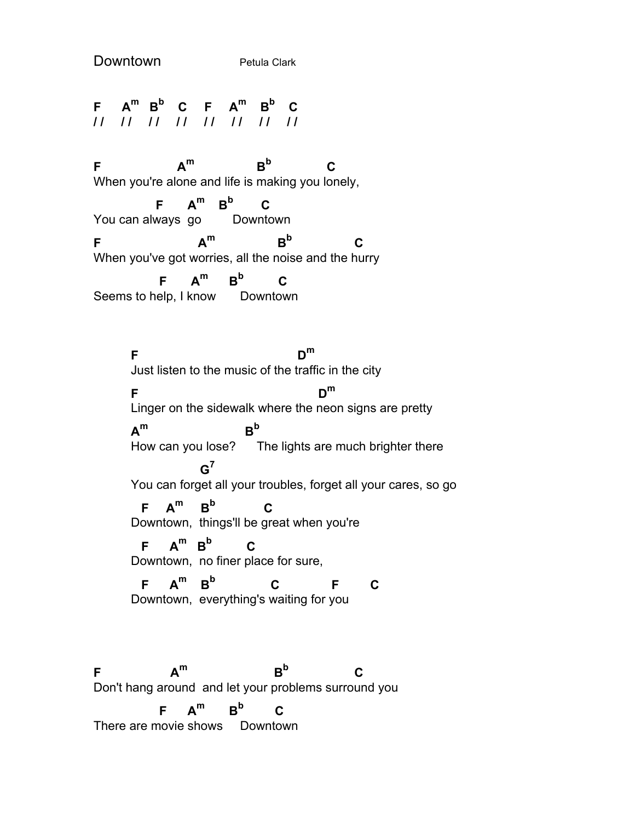Downtown Petula Clark

**F A<sup>m</sup> B<sup>b</sup> C F A<sup>m</sup> B<sup>b</sup> C / / / / / / / / / / / / / / / /** 

F  $A^m$   $B^b$  $B^b$  C When you're alone and life is making you lonely,

 **F A<sup>m</sup> B<sup>b</sup> C** You can always go Downtown F  $A^m$   $B^b$  $B^b$  C When you've got worries, all the noise and the hurry  $F$   $A^m$   $B^b$  **C** Seems to help, I know Downtown

**F D<sup>m</sup>** Just listen to the music of the traffic in the city **F D<sup>m</sup>** Linger on the sidewalk where the neon signs are pretty  $A^m$   $B^b$ How can you lose? The lights are much brighter there **G7** You can forget all your troubles, forget all your cares, so go  $F$   $A^m$   $B^b$  **C** Downtown, things'll be great when you're  $F$   $A^m$   $B^b$  **C** Downtown, no finer place for sure,  $F$   $A^m$   $B^b$  **C F C** Downtown, everything's waiting for you F  $A^m$   $B^b$  **C** Don't hang around and let your problems surround you  $F$   $A^m$   $B^b$ **C**

There are movie shows Downtown